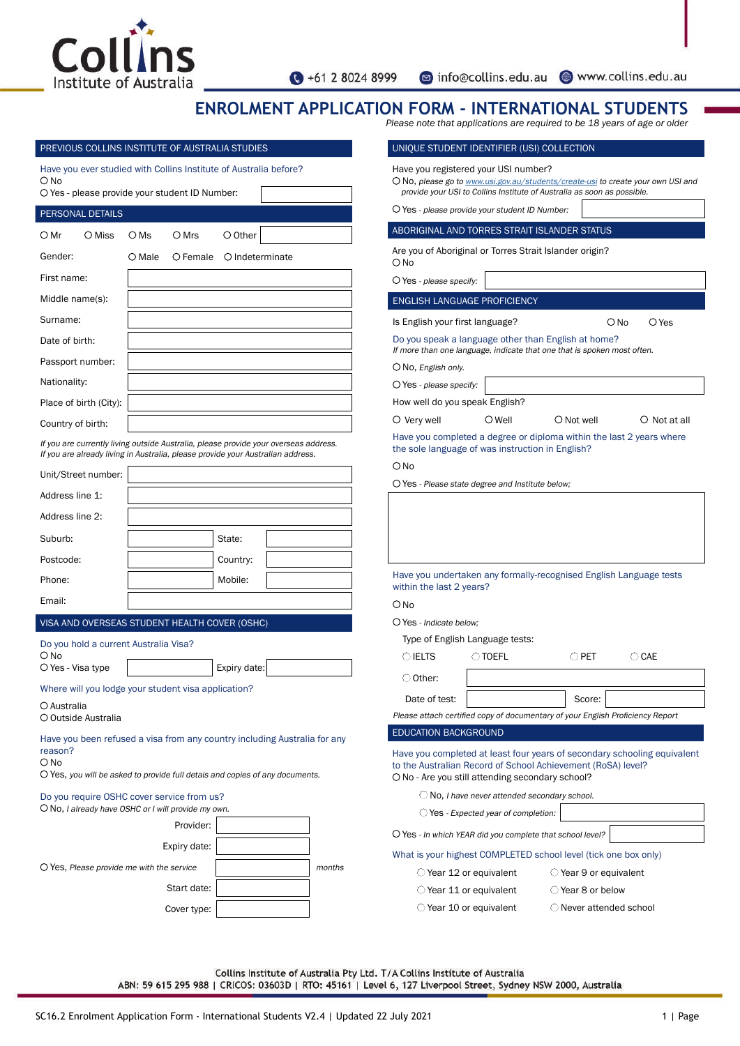

nfo@collins.edu.au www.collins.edu.au

# **ENROLMENT APPLICATION FORM - INTERNATIONAL STUDENTS**

*Please note that applications are required to be 18 years of age or older*

| Have you ever studied with Collins Institute of Australia before?                                                                                                       |                 |                   |                  |        | Have yor                     |
|-------------------------------------------------------------------------------------------------------------------------------------------------------------------------|-----------------|-------------------|------------------|--------|------------------------------|
| $\bigcirc$ No<br>O Yes - please provide your student ID Number:                                                                                                         |                 |                   |                  |        | $\bigcirc$ No, pk<br>provide |
| PERSONAL DETAILS                                                                                                                                                        |                 |                   |                  |        | $\bigcirc$ Yes - $\iota$     |
| ○ Mr<br>O Miss                                                                                                                                                          | $\bigcirc$ Ms   | $\bigcirc$ Mrs    | $\bigcirc$ Other |        | <b>ABORIGI</b>               |
| Gender:                                                                                                                                                                 | $\bigcirc$ Male | $\bigcirc$ Female | O Indeterminate  |        | Are you<br>O No              |
| First name:                                                                                                                                                             |                 |                   |                  |        | $\bigcirc$ Yes - $\mu$       |
| Middle name(s):                                                                                                                                                         |                 |                   |                  |        | <b>ENGLISH</b>               |
| Surname:                                                                                                                                                                |                 |                   |                  |        | Is Englis                    |
| Date of birth:                                                                                                                                                          |                 |                   |                  |        | Do you s                     |
| Passport number:                                                                                                                                                        |                 |                   |                  |        | If more th<br>○No, Er        |
| Nationality:                                                                                                                                                            |                 |                   |                  |        | $\bigcirc$ Yes - $\mu$       |
| Place of birth (City):                                                                                                                                                  |                 |                   |                  |        | How wel                      |
| Country of birth:                                                                                                                                                       |                 |                   |                  |        | $\bigcirc$ Very              |
| If you are currently living outside Australia, please provide your overseas address.<br>If you are already living in Australia, please provide your Australian address. |                 |                   |                  |        | Have yor<br>the sole         |
| Unit/Street number:                                                                                                                                                     |                 |                   |                  |        | $\bigcirc$ No                |
| Address line 1:                                                                                                                                                         |                 |                   |                  |        | $\bigcirc$ Yes - F           |
| Address line 2:                                                                                                                                                         |                 |                   |                  |        |                              |
| Suburb:                                                                                                                                                                 |                 |                   | State:           |        |                              |
| Postcode:                                                                                                                                                               |                 |                   | Country:         |        |                              |
| Phone:                                                                                                                                                                  |                 |                   | Mobile:          |        | Have yor                     |
| Email:                                                                                                                                                                  |                 |                   |                  |        | within th<br>$\bigcirc$ No   |
| VISA AND OVERSEAS STUDENT HEALTH COVER (OSHC)                                                                                                                           |                 |                   |                  |        | $\bigcirc$ Yes - I           |
| Do you hold a current Australia Visa?                                                                                                                                   |                 |                   |                  |        | Type o                       |
| $\bigcap$ No                                                                                                                                                            |                 |                   |                  |        | $\bigcirc$ IEL               |
| O Yes - Visa type                                                                                                                                                       |                 |                   | Expiry date:     |        | $\circlearrowright$ Oth      |
| Where will you lodge your student visa application?<br>O Australia                                                                                                      |                 |                   |                  |        |                              |
| O Outside Australia                                                                                                                                                     |                 |                   |                  |        | Please at                    |
| Have you been refused a visa from any country including Australia for any<br>reason?                                                                                    |                 |                   |                  |        | <b>EDUCATI</b><br>Have you   |
| $\bigcirc$ No<br>O Yes, you will be asked to provide full detais and copies of any documents.                                                                           |                 |                   |                  |        | to the Au<br>$O$ No - A      |
| Do you require OSHC cover service from us?<br>$\bigcirc$ No, I already have OSHC or I will provide my own.                                                              |                 |                   |                  |        |                              |
|                                                                                                                                                                         |                 | Provider:         |                  |        | $O$ Yes - $I$                |
|                                                                                                                                                                         |                 | Expiry date:      |                  |        | What is                      |
|                                                                                                                                                                         |                 |                   |                  |        |                              |
| $\bigcirc$ Yes, Please provide me with the service                                                                                                                      |                 |                   |                  | months |                              |

| UNIQUE STUDENT IDENTIFIER (USI) COLLECTION                                                                                |                                                    |                                                                                                                                |                                                                                         |
|---------------------------------------------------------------------------------------------------------------------------|----------------------------------------------------|--------------------------------------------------------------------------------------------------------------------------------|-----------------------------------------------------------------------------------------|
| Have you registered your USI number?                                                                                      |                                                    | provide your USI to Collins Institute of Australia as soon as possible.                                                        | ○ No, please go to <u>www.usi.gov.au/students/create-usi</u> to create your own USI and |
| O Yes - please provide your student ID Number:                                                                            |                                                    |                                                                                                                                |                                                                                         |
| ABORIGINAL AND TORRES STRAIT ISLANDER STATUS                                                                              |                                                    |                                                                                                                                |                                                                                         |
| Are you of Aboriginal or Torres Strait Islander origin?<br>O No                                                           |                                                    |                                                                                                                                |                                                                                         |
| $\bigcirc$ Yes - please specify:                                                                                          |                                                    |                                                                                                                                |                                                                                         |
| <b>ENGLISH LANGUAGE PROFICIENCY</b>                                                                                       |                                                    |                                                                                                                                |                                                                                         |
| Is English your first language?                                                                                           |                                                    |                                                                                                                                | O No<br>$\bigcirc$ Yes                                                                  |
|                                                                                                                           |                                                    | Do you speak a language other than English at home?<br>If more than one language, indicate that one that is spoken most often. |                                                                                         |
| $\bigcirc$ No, English only.                                                                                              |                                                    |                                                                                                                                |                                                                                         |
| $\bigcirc$ Yes - please specify:                                                                                          |                                                    |                                                                                                                                |                                                                                         |
| How well do you speak English?                                                                                            |                                                    |                                                                                                                                |                                                                                         |
| $\circlearrowright$ Very well                                                                                             | $\bigcirc$ Well                                    | $\bigcirc$ Not well                                                                                                            | ○ Not at all                                                                            |
| the sole language of was instruction in English?                                                                          |                                                    | Have you completed a degree or diploma within the last 2 years where                                                           |                                                                                         |
| $\bigcirc$ No                                                                                                             |                                                    |                                                                                                                                |                                                                                         |
| $\bigcirc$ Yes - Please state degree and Institute below;                                                                 |                                                    |                                                                                                                                |                                                                                         |
|                                                                                                                           |                                                    |                                                                                                                                |                                                                                         |
| within the last 2 years?                                                                                                  |                                                    | Have you undertaken any formally-recognised English Language tests                                                             |                                                                                         |
| O No                                                                                                                      |                                                    |                                                                                                                                |                                                                                         |
| $\bigcirc$ Yes - Indicate below;                                                                                          |                                                    |                                                                                                                                |                                                                                         |
| Type of English Language tests:                                                                                           |                                                    |                                                                                                                                |                                                                                         |
| $\bigcirc$ ielts                                                                                                          | $\cup$ toefl                                       | $\bigcirc$ pet                                                                                                                 | $\bigcirc$ CAE                                                                          |
| ○ Other:                                                                                                                  |                                                    |                                                                                                                                |                                                                                         |
| Date of test:                                                                                                             |                                                    | Score:                                                                                                                         |                                                                                         |
|                                                                                                                           |                                                    | Please attach certified copy of documentary of your English Proficiency Report                                                 |                                                                                         |
| <b>EDUCATION BACKGROUND</b>                                                                                               |                                                    |                                                                                                                                |                                                                                         |
| to the Australian Record of School Achievement (RoSA) level?<br>$\bigcirc$ No - Are you still attending secondary school? |                                                    |                                                                                                                                | Have you completed at least four years of secondary schooling equivalent                |
|                                                                                                                           | $\cup$ No, I have never attended secondary school. |                                                                                                                                |                                                                                         |
|                                                                                                                           | $\bigcirc$ Yes - Expected year of completion:      |                                                                                                                                |                                                                                         |
| $\bigcirc$ Yes - In which YEAR did you complete that school level?                                                        |                                                    |                                                                                                                                |                                                                                         |

your highest COMPLETED school level (tick one box only)

- Year 12 or equivalent  $\bigcirc$  Year 9 or equivalent
- Year 11 or equivalent  $\bigcirc$  Year 8 or below Year 10 or equivalent Never attended school

Collins Institute of Australia Pty Ltd. T/A Collins Institute of Australia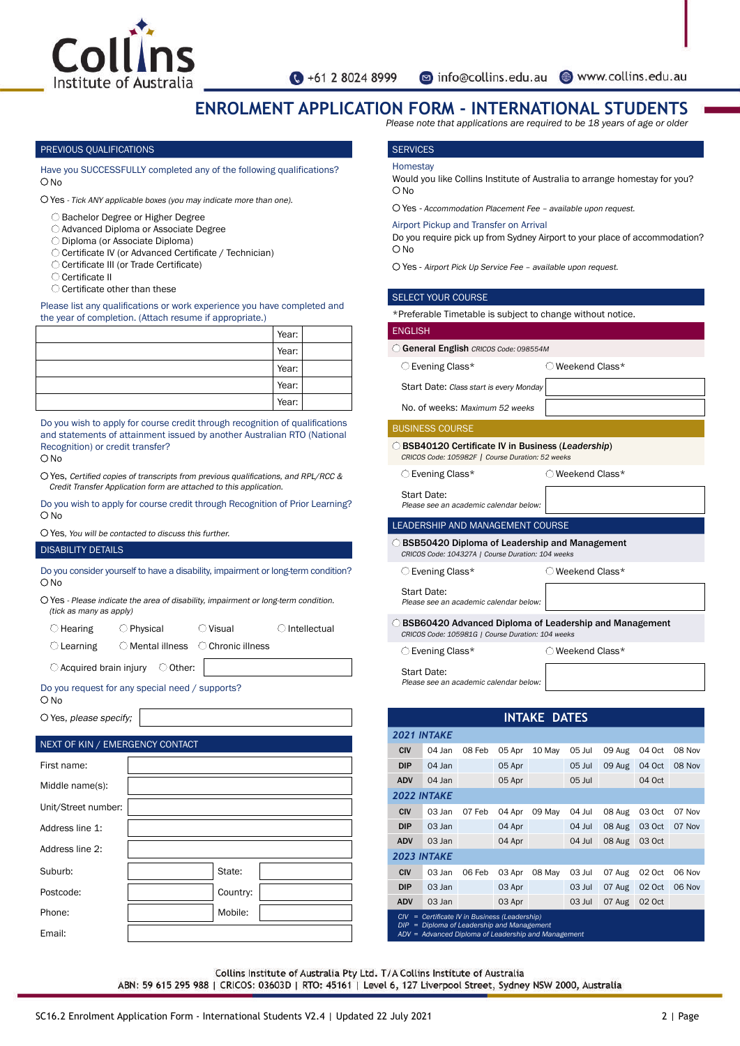

o info@collins.edu.au 
www.collins.edu.au

# **ENROLMENT APPLICATION FORM - INTERNATIONAL STUDENTS**

*Please note that applications are required to be 18 years of age or older*

#### PREVIOUS QUALIFICATIONS

Have you SUCCESSFULLY completed any of the following qualifications? ONo

Yes - Tick ANY applicable boxes (you may indicate more than one).

- Bachelor Degree or Higher Degree
- Advanced Diploma or Associate Degree
- Diploma (or Associate Diploma)
- Certificate IV (or Advanced Certificate / Technician)
- Certificate III (or Trade Certificate)
- Certificate II
- Certificate other than these

Please list any qualifications or work experience you have completed and the year of completion. (Attach resume if appropriate.)

| Year: |  |
|-------|--|
| Year: |  |
| Year: |  |
| Year: |  |
| Year: |  |

Do you wish to apply for course credit through recognition of qualifications and statements of attainment issued by another Australian RTO (National Recognition) or credit transfer?

 $\bigcap$  No

Yes, Certified copies of transcripts from previous qualifications, and RPL/RCC & Credit Transfer Application form are attached to this application.

Do you wish to apply for course credit through Recognition of Prior Learning? O No

Yes, You will be contacted to discuss this further.

## DISABILITY DETAILS

Do you consider yourself to have a disability, impairment or long-term condition?  $O$  No

Yes - Please indicate the area of disability, impairment or long-term condition.  $(tick as many as an\nolimitsnb)$ 

| $\bigcirc$ Hearing  | $\bigcirc$ Physical | $\bigcirc$ Visual                                    | $\bigcirc$ Intellectual |
|---------------------|---------------------|------------------------------------------------------|-------------------------|
| $\bigcirc$ Learning |                     | $\bigcirc$ Mental illness $\bigcirc$ Chronic illness |                         |

 $\bigcirc$  Acquired brain injury  $\bigcirc$  Other:

Do you request for any special need / supports? O No

O Yes, please specify;

| NEXT OF KIN / EMERGENCY CONTACT |  |          |  |  |  |  |  |
|---------------------------------|--|----------|--|--|--|--|--|
| First name:                     |  |          |  |  |  |  |  |
| Middle name(s):                 |  |          |  |  |  |  |  |
| Unit/Street number:             |  |          |  |  |  |  |  |
| Address line 1:                 |  |          |  |  |  |  |  |
| Address line 2:                 |  |          |  |  |  |  |  |
| Suburb:                         |  | State:   |  |  |  |  |  |
| Postcode:                       |  | Country: |  |  |  |  |  |
| Phone:                          |  | Mobile:  |  |  |  |  |  |
| Email:                          |  |          |  |  |  |  |  |

# **SERVICES**

#### **Homestay**

Would you like Collins Institute of Australia to arrange homestay for you?  $ONO$ 

Yes - Accommodation Placement Fee – available upon request.

#### Airport Pickup and Transfer on Arrival

Do you require pick up from Sydney Airport to your place of accommodation? O<sub>No</sub>

Yes - Airport Pick Up Service Fee – available upon request.

#### SELECT YOUR COURSE

\*Preferable Timetable is subject to change without notice.

## **ENGLISH**

General English CRICOS Code: *098554M*

O Evening Class\* Weekend Class\*

Start Date: Class start is every Monday

No. of weeks: Maximum 52 weeks

#### BUSINESS COURSE

BSB40120 Certificate IV in Business (*Leadership*) CRICOS Code: 105982F | Course Duration: 52 weeks

O Evening Class\* Weekend Class\*

Start Date: Please see an academic calendar below:

#### LEADERSHIP AND MANAGEMENT COURSE

BSB50420 Diploma of Leadership and Management CRICOS Code: 104327A | Course Duration: 104 weeks

O Evening Class\* Weekend Class\*

Start Date:

Please see an academic calendar below:

BSB60420 Advanced Diploma of Leadership and Management CRICOS Code: 105981G | Course Duration: 104 weeks

O Evening Class\* Weekend Class\*

Start Date: Please see an academic calendar below:

| <b>INTAKE DATES</b>                   |                                                                                                                                        |        |        |        |          |        |        |        |
|---------------------------------------|----------------------------------------------------------------------------------------------------------------------------------------|--------|--------|--------|----------|--------|--------|--------|
| <b>2021 INTAKE</b>                    |                                                                                                                                        |        |        |        |          |        |        |        |
| <b>CIV</b>                            | 04 Jan                                                                                                                                 | 08 Feb | 05 Apr | 10 May | 05 Jul   | 09 Aug | 04 Oct | 08 Nov |
| <b>DIP</b>                            | 04 Jan                                                                                                                                 |        | 05 Apr |        | 05 Jul   | 09 Aug | 04 Oct | 08 Nov |
| <b>ADV</b>                            | 04 Jan                                                                                                                                 |        | 05 Apr |        | 05 Jul   |        | 04 Oct |        |
| <b>2022 INTAKE</b>                    |                                                                                                                                        |        |        |        |          |        |        |        |
| <b>CIV</b>                            | 03 Jan                                                                                                                                 | 07 Feb | 04 Apr | 09 May | 04 Jul   | 08 Aug | 03 Oct | 07 Nov |
| <b>DIP</b>                            | 03 Jan                                                                                                                                 |        | 04 Apr |        | 04 Jul   | 08 Aug | 03 Oct | 07 Nov |
| <b>ADV</b>                            | 03 Jan                                                                                                                                 |        | 04 Apr |        | 04 Jul   | 08 Aug | 03 Oct |        |
| <b>2023 INTAKE</b>                    |                                                                                                                                        |        |        |        |          |        |        |        |
| <b>CIV</b>                            | 03 Jan                                                                                                                                 | 06 Feb | 03 Apr | 08 May | 03 Jul   | 07 Aug | 02 Oct | 06 Nov |
| <b>DIP</b>                            | 03 Jan                                                                                                                                 |        | 03 Apr |        | $03$ Jul | 07 Aug | 02 Oct | 06 Nov |
| <b>ADV</b>                            | 03 Jan                                                                                                                                 |        | 03 Apr |        | 03 Jul   | 07 Aug | 02 Oct |        |
| CIV <sub></sub><br>$=$<br>DIP.<br>$=$ | Certificate IV in Business (Leadership)<br>Diploma of Leadership and Management<br>ADV = Advanced Diploma of Leadership and Management |        |        |        |          |        |        |        |

Collins Institute of Australia Pty Ltd. T/A Collins Institute of Australia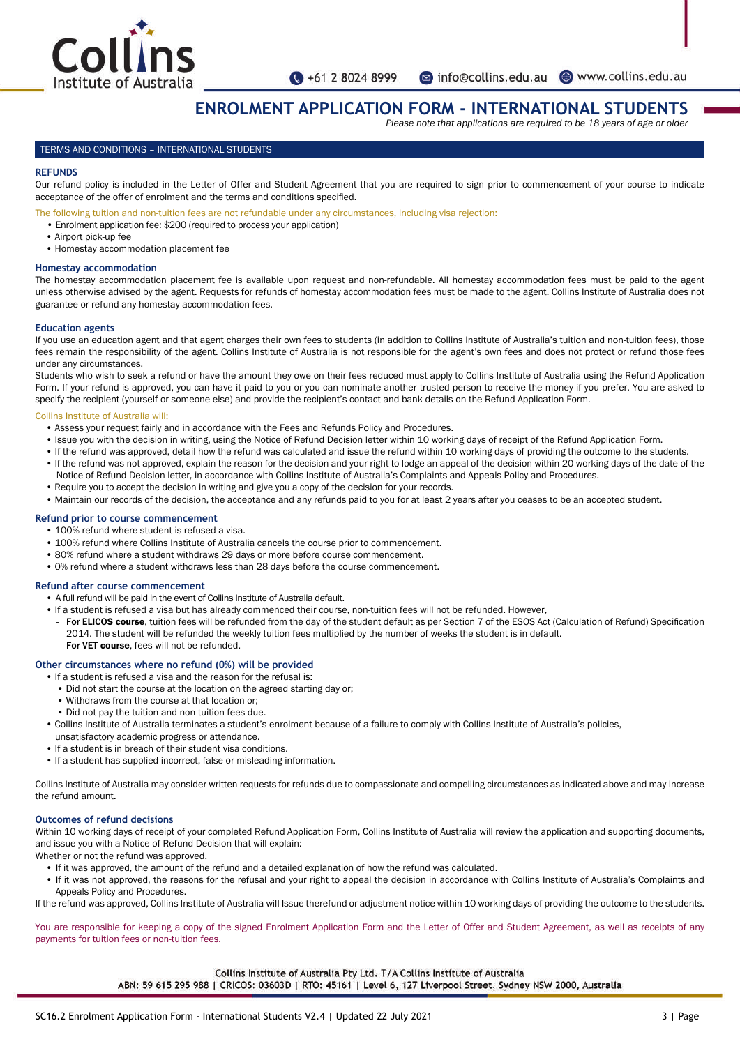

o info@collins.edu.au 
www.collins.edu.au

# **ENROLMENT APPLICATION FORM - INTERNATIONAL STUDENTS**

*Please note that applications are required to be 18 years of age or older*

## TERMS AND CONDITIONS – INTERNATIONAL STUDENTS

#### **REFUNDS**

Our refund policy is included in the Letter of Offer and Student Agreement that you are required to sign prior to commencement of your course to indicate acceptance of the offer of enrolment and the terms and conditions specified.

The following tuition and non-tuition fees are not refundable under any circumstances, including visa rejection:

- Enrolment application fee: \$200 (required to process your application)
- Airport pick-up fee
- Homestay accommodation placement fee

## **Homestay accommodation**

The homestay accommodation placement fee is available upon request and non-refundable. All homestay accommodation fees must be paid to the agent unless otherwise advised by the agent. Requests for refunds of homestay accommodation fees must be made to the agent. Collins Institute of Australia does not guarantee or refund any homestay accommodation fees.

#### **Education agents**

If you use an education agent and that agent charges their own fees to students (in addition to Collins Institute of Australia's tuition and non-tuition fees), those fees remain the responsibility of the agent. Collins Institute of Australia is not responsible for the agent's own fees and does not protect or refund those fees under any circumstances.

Students who wish to seek a refund or have the amount they owe on their fees reduced must apply to Collins Institute of Australia using the Refund Application Form. If your refund is approved, you can have it paid to you or you can nominate another trusted person to receive the money if you prefer. You are asked to specify the recipient (yourself or someone else) and provide the recipient's contact and bank details on the Refund Application Form.

#### Collins Institute of Australia will:

- Assess your request fairly and in accordance with the Fees and Refunds Policy and Procedures.
- Issue you with the decision in writing, using the Notice of Refund Decision letter within 10 working days of receipt of the Refund Application Form.
- If the refund was approved, detail how the refund was calculated and issue the refund within 10 working days of providing the outcome to the students.
- If the refund was not approved, explain the reason for the decision and your right to lodge an appeal of the decision within 20 working days of the date of the Notice of Refund Decision letter, in accordance with Collins Institute of Australia's Complaints and Appeals Policy and Procedures.
- Require you to accept the decision in writing and give you a copy of the decision for your records.
- Maintain our records of the decision, the acceptance and any refunds paid to you for at least 2 years after you ceases to be an accepted student.

# **Refund prior to course commencement**

- 100% refund where student is refused a visa.
- 100% refund where Collins Institute of Australia cancels the course prior to commencement.
- 80% refund where a student withdraws 29 days or more before course commencement.
- 0% refund where a student withdraws less than 28 days before the course commencement.

#### **Refund after course commencement**

- A full refund will be paid in the event of Collins Institute of Australia default.
- If a student is refused a visa but has already commenced their course, non-tuition fees will not be refunded. However,
- For ELICOS course, tuition fees will be refunded from the day of the student default as per Section 7 of the ESOS Act (Calculation of Refund) Specification 2014. The student will be refunded the weekly tuition fees multiplied by the number of weeks the student is in default.
- 
- For VET course, fees will not be refunded.

## **Other circumstances where no refund (0%) will be provided**

- If a student is refused a visa and the reason for the refusal is:
	- Did not start the course at the location on the agreed starting day or;
	- Withdraws from the course at that location or;
	- Did not pay the tuition and non-tuition fees due.
- Collins Institute of Australia terminates a student's enrolment because of a failure to comply with Collins Institute of Australia's policies,
- unsatisfactory academic progress or attendance.
- If a student is in breach of their student visa conditions. • If a student has supplied incorrect, false or misleading information.
- 

Collins Institute of Australia may consider written requests for refunds due to compassionate and compelling circumstances as indicated above and may increase the refund amount.

# **Outcomes of refund decisions**

Within 10 working days of receipt of your completed Refund Application Form, Collins Institute of Australia will review the application and supporting documents, and issue you with a Notice of Refund Decision that will explain:

- Whether or not the refund was approved.
	- If it was approved, the amount of the refund and a detailed explanation of how the refund was calculated.
	- If it was not approved, the reasons for the refusal and your right to appeal the decision in accordance with Collins Institute of Australia's Complaints and Appeals Policy and Procedures.

If the refund was approved, Collins Institute of Australia will Issue therefund or adjustment notice within 10 working days of providing the outcome to the students.

You are responsible for keeping a copy of the signed Enrolment Application Form and the Letter of Offer and Student Agreement, as well as receipts of any payments for tuition fees or non-tuition fees.

Collins Institute of Australia Pty Ltd. T/A Collins Institute of Australia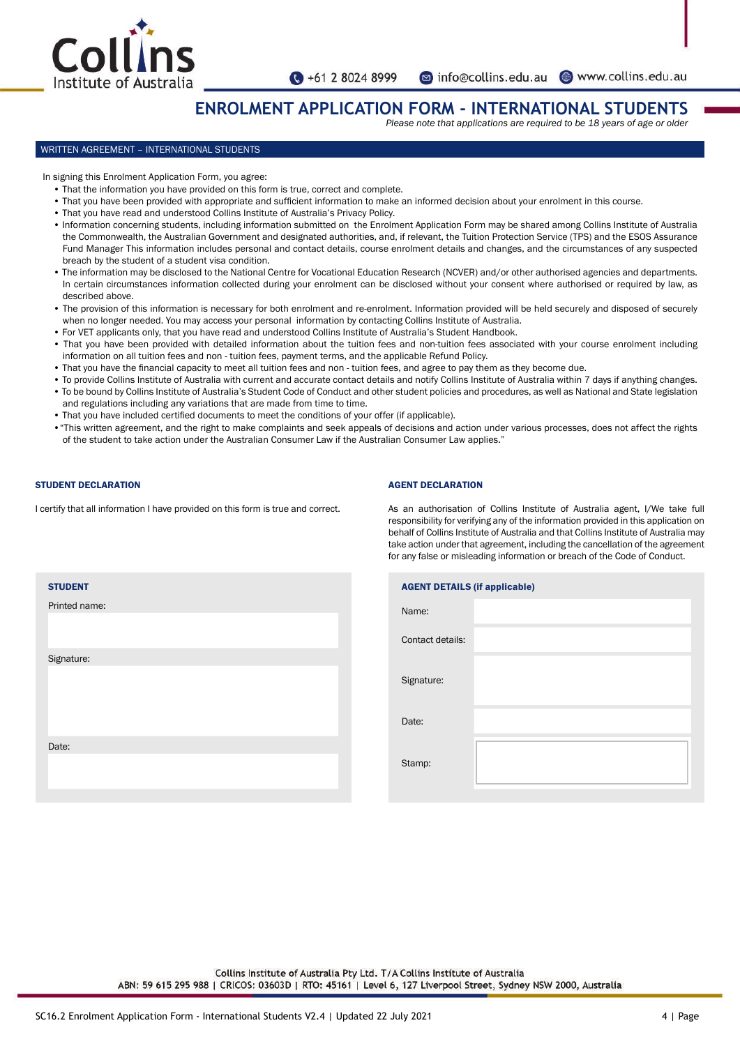

•61 2 8024 8999

# **ENROLMENT APPLICATION FORM - INTERNATIONAL STUDENTS**

*Please note that applications are required to be 18 years of age or older*

## WRITTEN AGREEMENT – INTERNATIONAL STUDENTS

In signing this Enrolment Application Form, you agree:

- That the information you have provided on this form is true, correct and complete.
- That you have been provided with appropriate and sufficient information to make an informed decision about your enrolment in this course.
- That you have read and understood Collins Institute of Australia's Privacy Policy.
- Information concerning students, including information submitted on the Enrolment Application Form may be shared among Collins Institute of Australia the Commonwealth, the Australian Government and designated authorities, and, if relevant, the Tuition Protection Service (TPS) and the ESOS Assurance Fund Manager This information includes personal and contact details, course enrolment details and changes, and the circumstances of any suspected breach by the student of a student visa condition.
- The information may be disclosed to the National Centre for Vocational Education Research (NCVER) and/or other authorised agencies and departments. In certain circumstances information collected during your enrolment can be disclosed without your consent where authorised or required by law, as described above.
- The provision of this information is necessary for both enrolment and re-enrolment. Information provided will be held securely and disposed of securely when no longer needed. You may access your personal information by contacting Collins Institute of Australia.
- For VET applicants only, that you have read and understood Collins Institute of Australia's Student Handbook.
- That you have been provided with detailed information about the tuition fees and non-tuition fees associated with your course enrolment including information on all tuition fees and non - tuition fees, payment terms, and the applicable Refund Policy.
- That you have the financial capacity to meet all tuition fees and non tuition fees, and agree to pay them as they become due.
- To provide Collins Institute of Australia with current and accurate contact details and notify Collins Institute of Australia within 7 days if anything changes. • To be bound by Collins Institute of Australia's Student Code of Conduct and other student policies and procedures, as well as National and State legislation and regulations including any variations that are made from time to time.
- That you have included certified documents to meet the conditions of your offer (if applicable).
- •"This written agreement, and the right to make complaints and seek appeals of decisions and action under various processes, does not affect the rights of the student to take action under the Australian Consumer Law if the Australian Consumer Law applies."

# STUDENT DECLARATION

I certify that all information I have provided on this form is true and correct.

# AGENT DECLARATION

As an authorisation of Collins Institute of Australia agent, I/We take full responsibility for verifying any of the information provided in this application on behalf of Collins Institute of Australia and that Collins Institute of Australia may take action under that agreement, including the cancellation of the agreement for any false or misleading information or breach of the Code of Conduct.

| <b>STUDENT</b> |  |
|----------------|--|
| Printed name:  |  |
|                |  |
| Signature:     |  |
|                |  |
| Date:          |  |
|                |  |

| <b>AGENT DETAILS (if applicable)</b> |  |  |  |  |  |  |
|--------------------------------------|--|--|--|--|--|--|
| Name:                                |  |  |  |  |  |  |
| Contact details:                     |  |  |  |  |  |  |
| Signature:                           |  |  |  |  |  |  |
| Date:                                |  |  |  |  |  |  |
| Stamp:                               |  |  |  |  |  |  |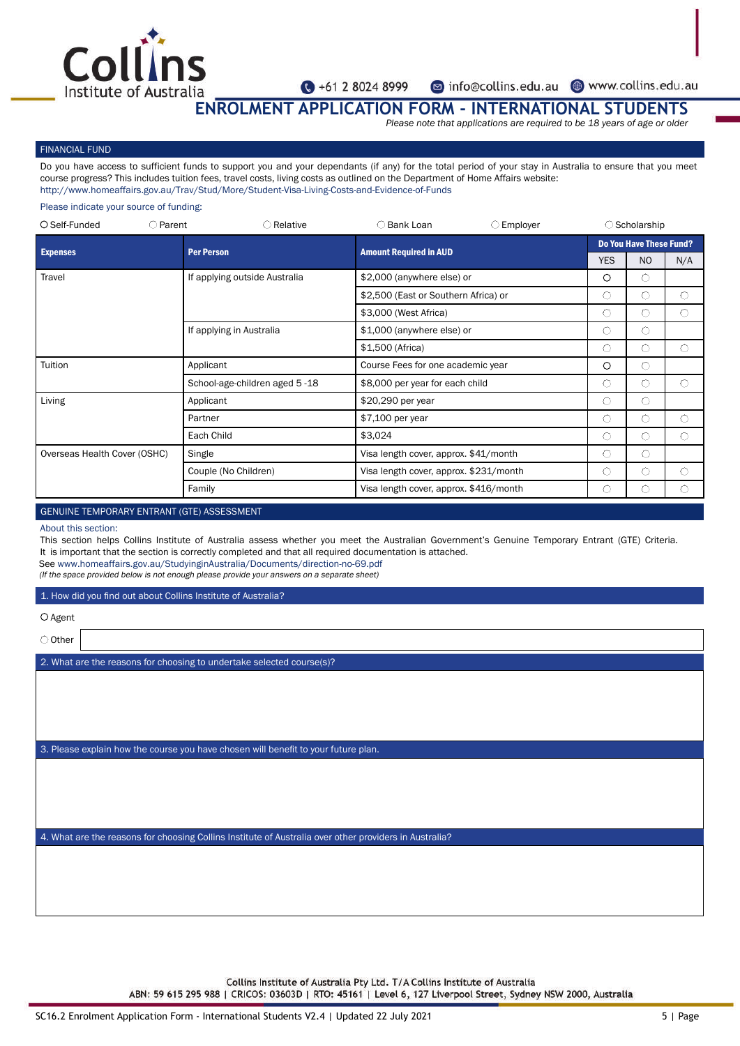

nfo@collins.edu.au www.collins.edu.au

**ENROLMENT APPLICATION FORM - INTERNATIONAL STUDENTS**

*Please note that applications are required to be 18 years of age or older*

# FINANCIAL FUND

Do you have access to sufficient funds to support you and your dependants (if any) for the total period of your stay in Australia to ensure that you meet course progress? This includes tuition fees, travel costs, living costs as outlined on the Department of Home Affairs website: http://www.homeaffairs.gov.au/Trav/Stud/More/Student-Visa-Living-Costs-and-Evidence-of-Funds

## Please indicate your source of funding:

| $O$ Self-Funded              | $\bigcirc$ Parent | $\bigcirc$ Relative           | ○ Bank Loan                            | $\bigcirc$ Employer |                                | $\bigcirc$ Scholarship |     |
|------------------------------|-------------------|-------------------------------|----------------------------------------|---------------------|--------------------------------|------------------------|-----|
| <b>Expenses</b>              |                   | <b>Per Person</b>             | <b>Amount Required in AUD</b>          |                     | <b>Do You Have These Fund?</b> |                        |     |
|                              |                   |                               |                                        |                     | <b>YES</b>                     | N <sub>O</sub>         | N/A |
| Travel                       |                   | If applying outside Australia | \$2,000 (anywhere else) or             |                     | $\circ$                        | O                      |     |
|                              |                   |                               | \$2,500 (East or Southern Africa) or   |                     | $\bigcirc$                     | O                      | ∩   |
|                              |                   |                               | \$3,000 (West Africa)                  |                     | $\bigcirc$                     | O                      | O   |
|                              |                   | If applying in Australia      | \$1,000 (anywhere else) or             |                     | $\bigcirc$                     | Ο                      |     |
|                              |                   |                               | \$1,500 (Africa)                       |                     | O                              | O                      | O   |
| Tuition                      |                   | Applicant                     | Course Fees for one academic year      |                     | $\circ$                        | O                      |     |
|                              |                   | School-age-children aged 5-18 | \$8,000 per year for each child        |                     | $\circ$                        | О                      | O   |
| Living                       |                   | Applicant                     | \$20,290 per year                      |                     | $\bigcirc$                     | Ο                      |     |
|                              |                   | Partner                       | \$7,100 per year                       |                     | $\bigcirc$                     | O                      | ∩   |
|                              |                   | Each Child                    | \$3,024                                |                     | O                              | O                      | 0   |
| Overseas Health Cover (OSHC) |                   | Single                        | Visa length cover, approx. \$41/month  |                     | $\bigcirc$                     | O                      |     |
|                              |                   | Couple (No Children)          | Visa length cover, approx. \$231/month |                     | $\circ$                        | O                      | ∩   |
|                              |                   | Family                        | Visa length cover, approx. \$416/month |                     | $\circ$                        | C                      |     |

# GENUINE TEMPORARY ENTRANT (GTE) ASSESSMENT

#### About this section:

This section helps Collins Institute of Australia assess whether you meet the Australian Government's Genuine Temporary Entrant (GTE) Criteria. It is important that the section is correctly completed and that all required documentation is attached.

See www.homeaffairs.gov.au/StudyinginAustralia/Documents/direction-no-69.pdf

(If the space provided below is not enough please provide your answers on a separate sheet)

#### 1. How did you find out about Collins Institute of Australia?

 $O$  Agent

O Other

2. What are the reasons for choosing to undertake selected course(s)?

3. Please explain how the course you have chosen will benefit to your future plan.

4. What are the reasons for choosing Collins Institute of Australia over other providers in Australia?

Collins Institute of Australia Pty Ltd. T/A Collins Institute of Australia